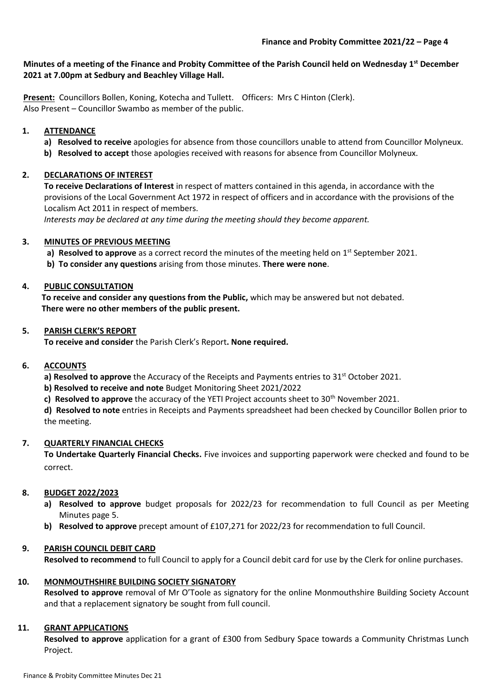#### **Minutes of a meeting of the Finance and Probity Committee of the Parish Council held on Wednesday 1 st December 2021 at 7.00pm at Sedbury and Beachley Village Hall.**

**Present:** Councillors Bollen, Koning, Kotecha and Tullett. Officers: Mrs C Hinton (Clerk). Also Present – Councillor Swambo as member of the public.

## **1. ATTENDANCE**

- **a) Resolved to receive** apologies for absence from those councillors unable to attend from Councillor Molyneux.
- **b) Resolved to accept** those apologies received with reasons for absence from Councillor Molyneux.

### **2. DECLARATIONS OF INTEREST**

**To receive Declarations of Interest** in respect of matters contained in this agenda, in accordance with the provisions of the Local Government Act 1972 in respect of officers and in accordance with the provisions of the Localism Act 2011 in respect of members.

 *Interests may be declared at any time during the meeting should they become apparent.*

## **3. MINUTES OF PREVIOUS MEETING**

- a) Resolved to approve as a correct record the minutes of the meeting held on 1<sup>st</sup> September 2021.
- **b) To consider any questions** arising from those minutes. **There were none**.

## **4. PUBLIC CONSULTATION**

**To receive and consider any questions from the Public,** which may be answered but not debated. **There were no other members of the public present.**

### **5. PARISH CLERK'S REPORT**

**To receive and consider** the Parish Clerk's Report**. None required.**

### **6. ACCOUNTS**

**a) Resolved to approve** the Accuracy of the Receipts and Payments entries to 31<sup>st</sup> October 2021.

- **b) Resolved to receive and note** Budget Monitoring Sheet 2021/2022
- **c) Resolved to approve** the accuracy of the YETI Project accounts sheet to 30th November 2021.

**d) Resolved to note** entries in Receipts and Payments spreadsheet had been checked by Councillor Bollen prior to the meeting.

# **7. QUARTERLY FINANCIAL CHECKS**

**To Undertake Quarterly Financial Checks.** Five invoices and supporting paperwork were checked and found to be correct.

# **8. BUDGET 2022/2023**

- **a) Resolved to approve** budget proposals for 2022/23 for recommendation to full Council as per Meeting Minutes page 5.
- **b) Resolved to approve** precept amount of £107,271 for 2022/23 for recommendation to full Council.

# **9. PARISH COUNCIL DEBIT CARD**

**Resolved to recommend** to full Council to apply for a Council debit card for use by the Clerk for online purchases.

### **10. MONMOUTHSHIRE BUILDING SOCIETY SIGNATORY**

**Resolved to approve** removal of Mr O'Toole as signatory for the online Monmouthshire Building Society Account and that a replacement signatory be sought from full council.

### **11. GRANT APPLICATIONS**

**Resolved to approve** application for a grant of £300 from Sedbury Space towards a Community Christmas Lunch Project.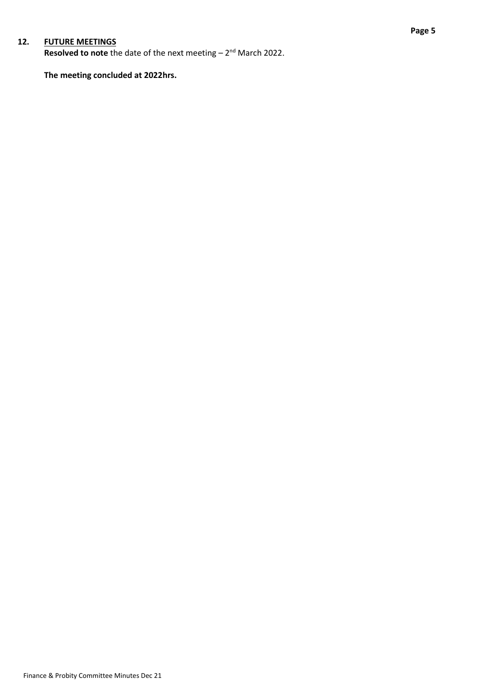## **12. FUTURE MEETINGS**

Resolved to note the date of the next meeting - 2<sup>nd</sup> March 2022.

**The meeting concluded at 2022hrs.**